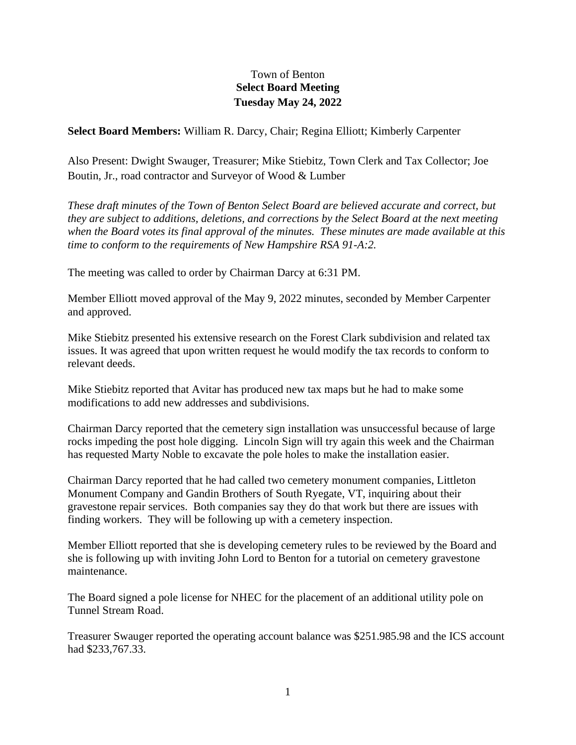## Town of Benton **Select Board Meeting Tuesday May 24, 2022**

**Select Board Members:** William R. Darcy, Chair; Regina Elliott; Kimberly Carpenter

Also Present: Dwight Swauger, Treasurer; Mike Stiebitz, Town Clerk and Tax Collector; Joe Boutin, Jr., road contractor and Surveyor of Wood & Lumber

*These draft minutes of the Town of Benton Select Board are believed accurate and correct, but they are subject to additions, deletions, and corrections by the Select Board at the next meeting when the Board votes its final approval of the minutes. These minutes are made available at this time to conform to the requirements of New Hampshire RSA 91-A:2.*

The meeting was called to order by Chairman Darcy at 6:31 PM.

Member Elliott moved approval of the May 9, 2022 minutes, seconded by Member Carpenter and approved.

Mike Stiebitz presented his extensive research on the Forest Clark subdivision and related tax issues. It was agreed that upon written request he would modify the tax records to conform to relevant deeds.

Mike Stiebitz reported that Avitar has produced new tax maps but he had to make some modifications to add new addresses and subdivisions.

Chairman Darcy reported that the cemetery sign installation was unsuccessful because of large rocks impeding the post hole digging. Lincoln Sign will try again this week and the Chairman has requested Marty Noble to excavate the pole holes to make the installation easier.

Chairman Darcy reported that he had called two cemetery monument companies, Littleton Monument Company and Gandin Brothers of South Ryegate, VT, inquiring about their gravestone repair services. Both companies say they do that work but there are issues with finding workers. They will be following up with a cemetery inspection.

Member Elliott reported that she is developing cemetery rules to be reviewed by the Board and she is following up with inviting John Lord to Benton for a tutorial on cemetery gravestone maintenance.

The Board signed a pole license for NHEC for the placement of an additional utility pole on Tunnel Stream Road.

Treasurer Swauger reported the operating account balance was \$251.985.98 and the ICS account had \$233,767.33.